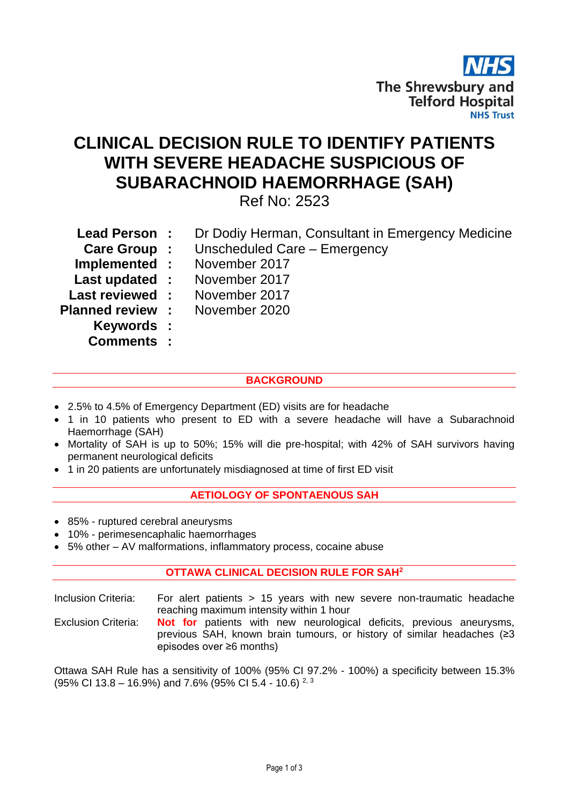

## **CLINICAL DECISION RULE TO IDENTIFY PATIENTS WITH SEVERE HEADACHE SUSPICIOUS OF SUBARACHNOID HAEMORRHAGE (SAH)**

Ref No: 2523

| <b>Lead Person:</b>                   | Dr Dodiy Herman, Consultant in Emergency Medicine |
|---------------------------------------|---------------------------------------------------|
|                                       | <b>Care Group :</b> Unscheduled Care – Emergency  |
|                                       | <b>Implemented : November 2017</b>                |
|                                       | <b>Last updated : November 2017</b>               |
| <b>Last reviewed:</b>                 | November 2017                                     |
| <b>Planned review : November 2020</b> |                                                   |
| Keywords :                            |                                                   |
| <b>Comments :</b>                     |                                                   |

## **BACKGROUND**

- 2.5% to 4.5% of Emergency Department (ED) visits are for headache
- 1 in 10 patients who present to ED with a severe headache will have a Subarachnoid Haemorrhage (SAH)
- Mortality of SAH is up to 50%; 15% will die pre-hospital; with 42% of SAH survivors having permanent neurological deficits
- 1 in 20 patients are unfortunately misdiagnosed at time of first ED visit

## **AETIOLOGY OF SPONTAENOUS SAH**

- 85% ruptured cerebral aneurysms
- 10% perimesencaphalic haemorrhages
- 5% other AV malformations, inflammatory process, cocaine abuse

## **OTTAWA CLINICAL DECISION RULE FOR SAH<sup>2</sup>**

Inclusion Criteria: For alert patients > 15 years with new severe non-traumatic headache reaching maximum intensity within 1 hour

Exclusion Criteria: **Not for** patients with new neurological deficits, previous aneurysms, previous SAH, known brain tumours, or history of similar headaches (≥3 episodes over ≥6 months)

Ottawa SAH Rule has a sensitivity of 100% (95% CI 97.2% - 100%) a specificity between 15.3% (95% CI 13.8 – 16.9%) and 7.6% (95% CI 5.4 - 10.6)  $^{2,3}$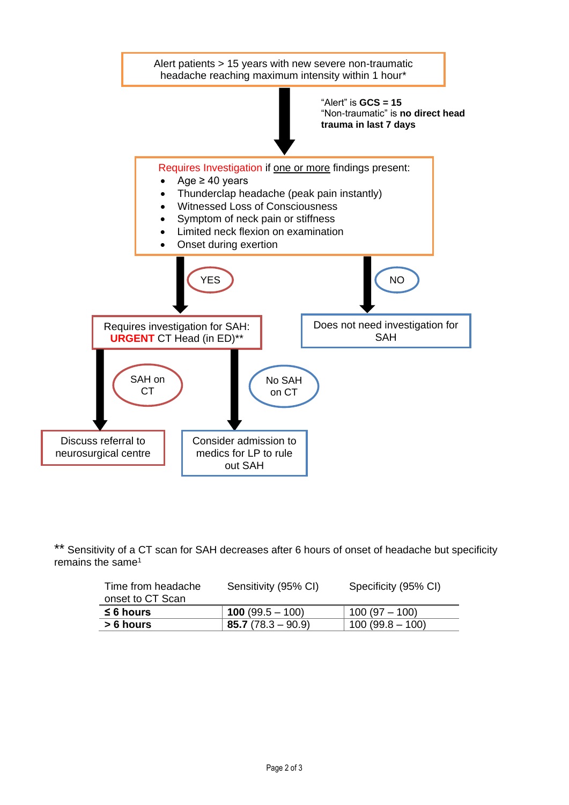

\*\* Sensitivity of a CT scan for SAH decreases after 6 hours of onset of headache but specificity remains the same<sup>1</sup>

| Time from headache<br>onset to CT Scan | Sensitivity (95% CI)      | Specificity (95% CI) |
|----------------------------------------|---------------------------|----------------------|
| $\leq 6$ hours                         | <b>100</b> (99.5 $-$ 100) | $100(97 - 100)$      |
| > 6 hours                              | $85.7(78.3 - 90.9)$       | $100(99.8-100)$      |